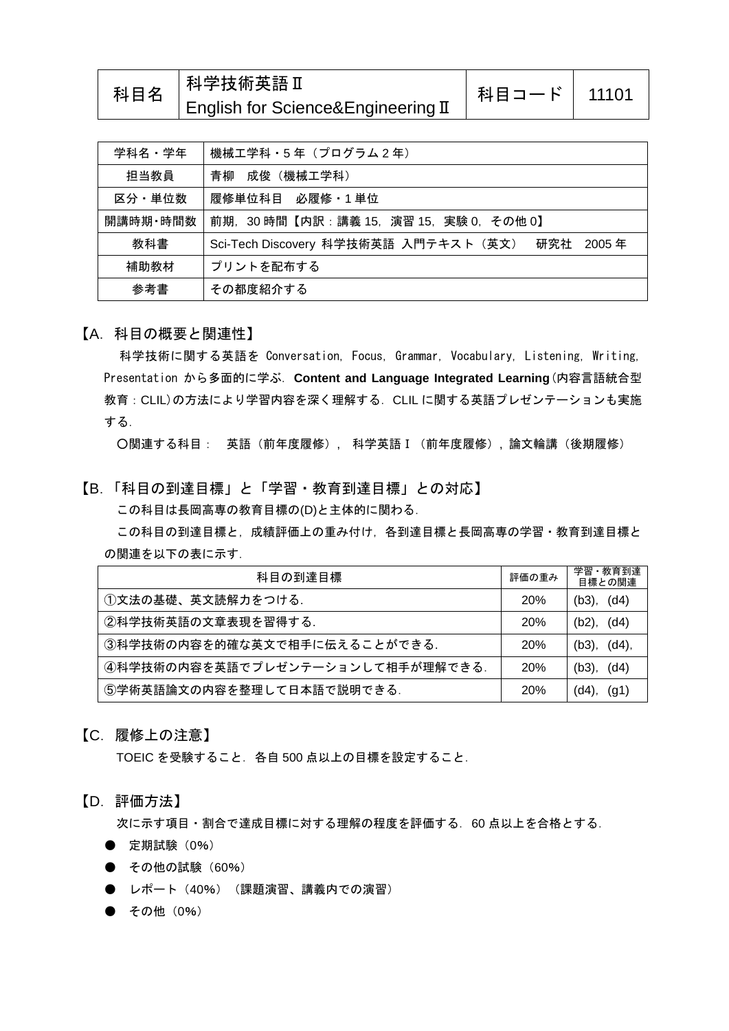| 科目名 | │科学技術英語Ⅱ                           | 科目コード   11101 |  |
|-----|------------------------------------|---------------|--|
|     | English for Science&Engineering II |               |  |

| 学科名・学年   | 機械工学科・5年 (プログラム2年)                                 |
|----------|----------------------------------------------------|
| 担当教員     | 青柳<br>成俊(機械工学科)                                    |
| 区分・単位数   | 履修単位科目 必履修・1 単位                                    |
| 開講時期・時間数 | 前期.30 時間【内訳:講義 15.演習 15.実験 0.その他 0】                |
| 教科書      | Sci-Tech Discovery 科学技術英語 入門テキスト(英文) 研究社<br>2005 年 |
| 補助教材     | プリントを配布する                                          |
| 参考書      | その都度紹介する                                           |

## 【A.科目の概要と関連性】

科学技術に関する英語を Conversation, Focus, Grammar, Vocabulary, Listening, Writing, Presentation から多面的に学ぶ.**Content and Language Integrated Learning**(内容言語統合型 教育:CLIL)の方法により学習内容を深く理解する.CLIL に関する英語プレゼンテーションも実施 する.

○関連する科目: 英語(前年度履修), 科学英語Ⅰ(前年度履修), 論文輪講(後期履修)

【B.「科目の到達目標」と「学習・教育到達目標」との対応】

この科目は長岡高専の教育目標の(D)と主体的に関わる.

この科目の到達目標と,成績評価上の重み付け,各到達目標と長岡高専の学習・教育到達目標と の関連を以下の表に示す.

| 科目の到達目標                          | 評価の重み      | 学習・教育到達<br>目標との関連    |
|----------------------------------|------------|----------------------|
| ①文法の基礎、英文読解力をつける.                | <b>20%</b> | (d4)<br>(b3)         |
| ②科学技術英語の文章表現を習得する.               | <b>20%</b> | (d4)<br>(b2),        |
| ③科学技術の内容を的確な英文で相手に伝えることができる.     | <b>20%</b> | $(d4)$ ,<br>$(b3)$ , |
| 4科学技術の内容を英語でプレゼンテーションして相手が理解できる. | <b>20%</b> | (d4)<br>$(b3)$ .     |
| ⑤学術英語論文の内容を整理して日本語で説明できる.        | <b>20%</b> | (g1)<br>$(d4)$ ,     |

## 【C.履修上の注意】

TOEIC を受験すること.各自 500 点以上の目標を設定すること.

## 【D.評価方法】

次に示す項目・割合で達成目標に対する理解の程度を評価する. 60 点以上を合格とする.

- 定期試験 (0%)
- その他の試験 (60%)
- レポート (40%) (課題演習、講義内での演習)
- その他 (0%)